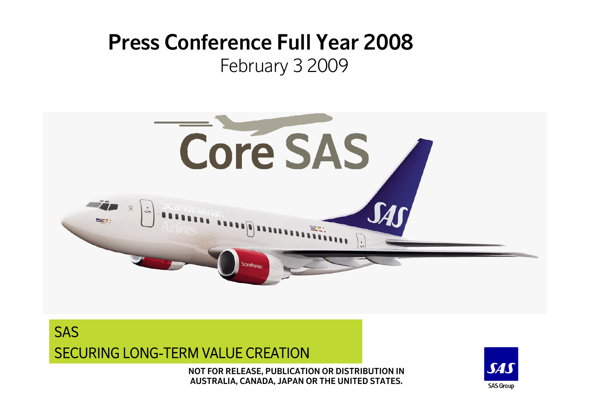# **Press Conference Full Year 2008**February 3 2009





**NOT FOR RELEASE, PUBLICATION OR DISTRIBUTION IN AUSTRALIA, CANADA, JAPAN OR THE UNITED STATES.**

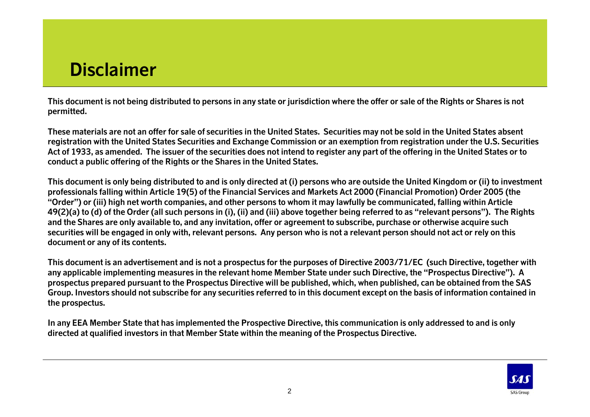## **Disclaimer**

**This document is not being distributed to persons in any state or jurisdiction where the offer or sale of the Rights or Shares is not permitted.**

**These materials are not an offer for sale of securities in the United States. Securities may not be sold in the United States absent registration with the United States Securities and Exchange Commission or an exemption from registration under the U.S. Securities Act of 1933, as amended. The issuer of the securities does not intend to register any part of the offering in the United States or to conduct a public offering of the Rights or the Shares in the United States.**

**This document is only being distributed to and is only directed at (i) persons who are outside the United Kingdom or (ii) to investment professionals falling within Article 19(5) of the Financial Services and Markets Act 2000 (Financial Promotion) Order 2005 (the "Order") or (iii) high net worth companies, and other persons to whom it may lawfully be communicated, falling within Article 49(2)(a) to (d) of the Order (all such persons in (i), (ii) and (iii) above together being referred to as "relevant persons"). The Rights and the Shares are only available to, and any invitation, offer or agreement to subscribe, purchase or otherwise acquire such securities will be engaged in only with, relevant persons. Any person who is not a relevant person should not act or rely on this document or any of its contents.**

**This document is an advertisement and is not a prospectus for the purposes of Directive 2003/71/EC (such Directive, together with any applicable implementing measures in the relevant home Member State under such Directive, the "Prospectus Directive"). A prospectus prepared pursuant to the Prospectus Directive will be published, which, when published, can be obtained from the SAS Group. Investors should not subscribe for any securities referred to in this document except on the basis of information contained in the prospectus.**

**In any EEA Member State that has implemented the Prospective Directive, this communication is only addressed to and is only directed at qualified investors in that Member State within the meaning of the Prospectus Directive.**

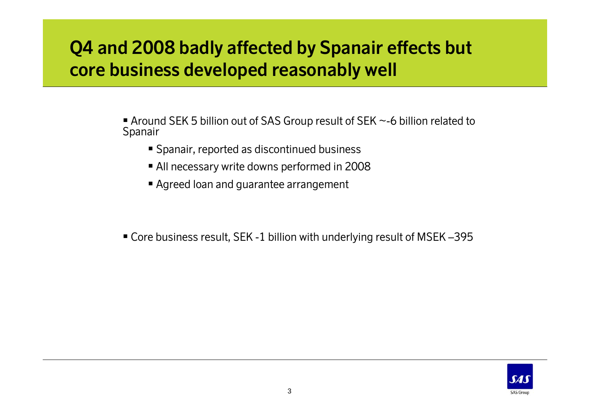#### **Q4 and 2008 badly affected by Spanair effects but core business developed reasonably well**

- Around SEK 5 billion out of SAS Group result of SEK ~-6 billion related to Spanair
	- Spanair, reported as discontinued business
	- All necessary write downs performed in 2008
	- Agreed loan and guarantee arrangement

Core business result, SEK -1 billion with underlying result of MSEK –395

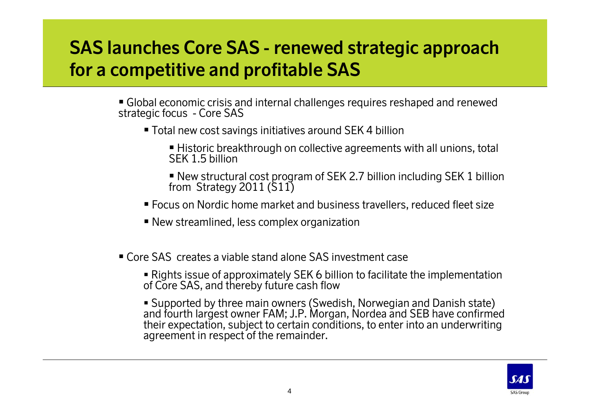### **SAS launches Core SAS - renewed strategic approach for a competitive and profitable SAS**

- Global economic crisis and internal challenges requires reshaped and renewed strategic focus - Core SAS
	- Total new cost savings initiatives around SEK 4 billion
		- Historic breakthrough on collective agreements with all unions, total SEK 1.5 billion
		- New structural cost program of SEK 2.7 billion including SEK 1 billion from Strategy 2011 (S11)
	- Focus on Nordic home market and business travellers, reduced fleet size
	- New streamlined, less complex organization
- Core SAS creates a viable stand alone SAS investment case
	- Rights issue of approximately SEK 6 billion to facilitate the implementation of Core SAS, and thereby future cash flow
	- Supported by three main owners (Swedish, Norwegian and Danish state) and fourth largest owner FAM; J.P. Morgan, Nordea and SEB have confirmed their expectation, subject to certain conditions, to enter into an underwriting agreement in respect of the remainder.

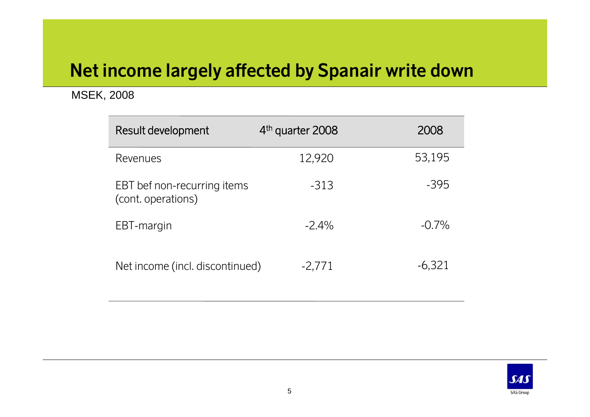#### **Net income largely affected by Spanair write down**

#### MSEK, 2008

| Result development                                | 4 <sup>th</sup> quarter 2008 | 2008     |
|---------------------------------------------------|------------------------------|----------|
| Revenues                                          | 12,920                       | 53,195   |
| EBT bef non-recurring items<br>(cont. operations) | $-313$                       | $-395$   |
| EBT-margin                                        | $-2.4\%$                     | $-0.7\%$ |
| Net income (incl. discontinued)                   | $-2,771$                     | $-6,321$ |

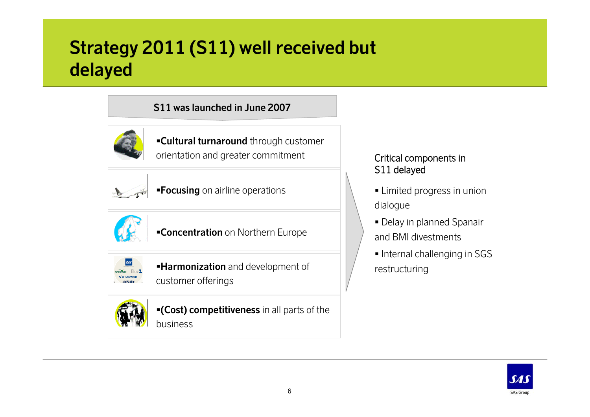## **Strategy 2011 (S11) well received but delayed**

#### **S11 was launched in June 2007**



**Cultural turnaround** through customer orientation and greater commitment



**Focusing** on airline operations



**Concentration** on Northern Europe



**Harmonization** and development of

customer offerings



**(Cost) competitiveness** in all parts of the business

#### Critical components in S11 delayed

- Limited progress in union dialogue
- Delay in planned Spanair and BMI divestments
- **Internal challenging in SGS** restructuring

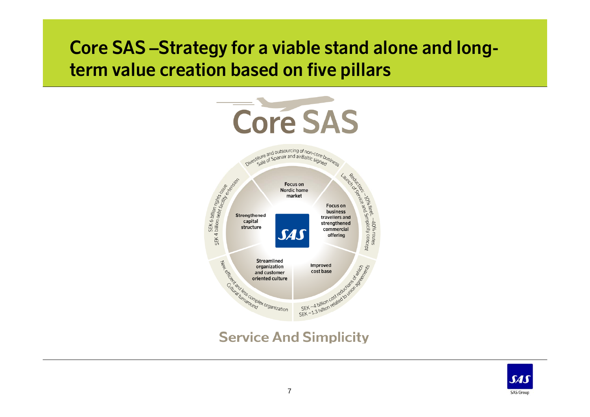#### **Core SAS –Strategy for a viable stand alone and longterm value creation based on five pillars**



#### **Service And Simplicity**

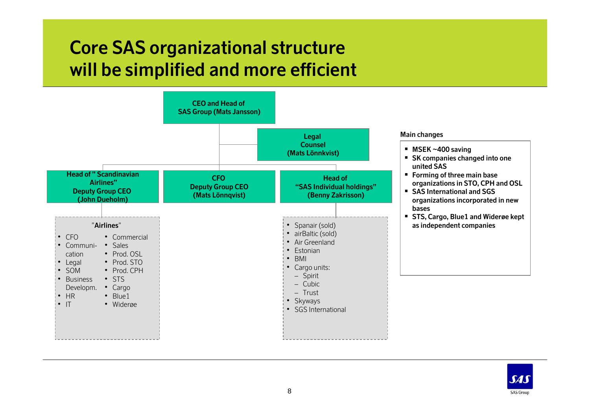## **Core SAS organizational structure will be simplified and more efficient**



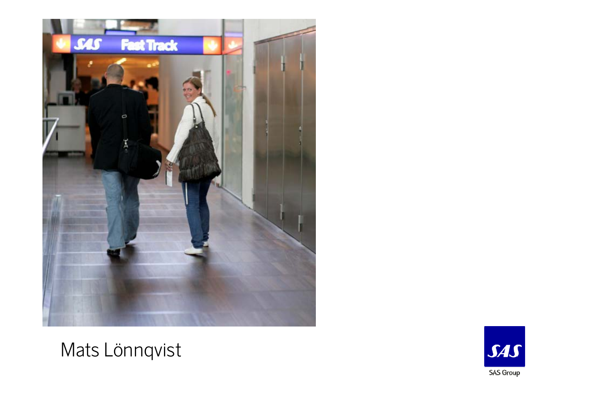

### Mats Lönnqvist

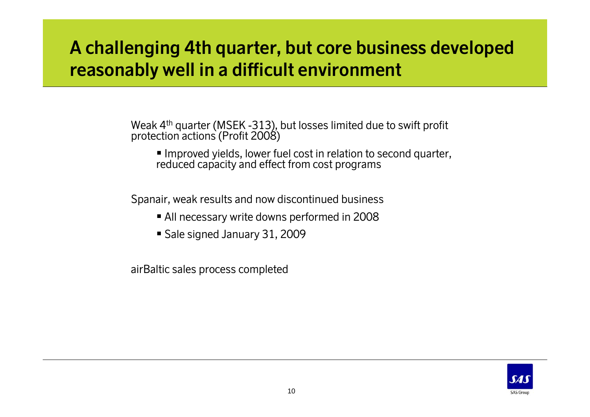#### **A challenging 4th quarter, but core business developed reasonably well in a difficult environment**

Weak 4<sup>th</sup> quarter (MSEK -313), but losses limited due to swift profit protection actions (Profit 2008)

 Improved yields, lower fuel cost in relation to second quarter, reduced capacity and effect from cost programs

Spanair, weak results and now discontinued business

- All necessary write downs performed in 2008
- Sale signed January 31, 2009

airBaltic sales process completed

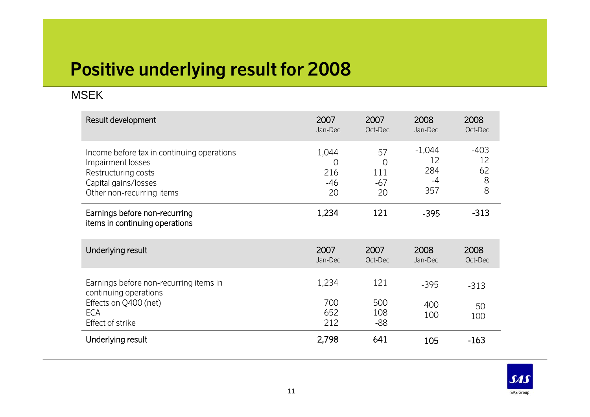# **Positive underlying result for 2008**

#### MSEK

| Result development                                                                                                                          | 2007<br>Jan-Dec                             | 2007<br>Oct-Dec                            | 2008<br>Jan-Dec                    | 2008<br>Oct-Dec              |
|---------------------------------------------------------------------------------------------------------------------------------------------|---------------------------------------------|--------------------------------------------|------------------------------------|------------------------------|
| Income before tax in continuing operations<br>Impairment losses<br>Restructuring costs<br>Capital gains/losses<br>Other non-recurring items | 1,044<br>$\overline{0}$<br>216<br>-46<br>20 | 57<br>$\overline{0}$<br>111<br>$-67$<br>20 | $-1,044$<br>12<br>284<br>-4<br>357 | $-403$<br>12<br>62<br>8<br>8 |
| Earnings before non-recurring<br>items in continuing operations                                                                             | 1,234                                       | 121                                        | $-395$                             | $-313$                       |
| Underlying result                                                                                                                           | 2007<br>Jan-Dec                             | 2007<br>Oct-Dec                            | 2008<br>Jan-Dec                    | 2008<br>Oct-Dec              |
| Earnings before non-recurring items in<br>continuing operations<br>Effects on Q400 (net)<br><b>ECA</b>                                      | 1,234<br>700<br>652                         | 121<br>500<br>108                          | $-395$<br>400                      | $-313$<br>50                 |
| Effect of strike                                                                                                                            | 212                                         | -88                                        | 100                                | 100                          |
| Underlying result                                                                                                                           | 2,798                                       | 641                                        | 105                                | $-163$                       |

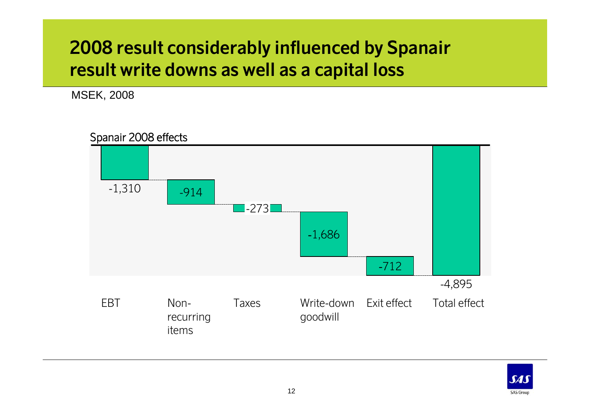#### **2008 result considerably influenced by Spanair result write downs as well as a capital loss**

MSEK, 2008

Spanair 2008 effects



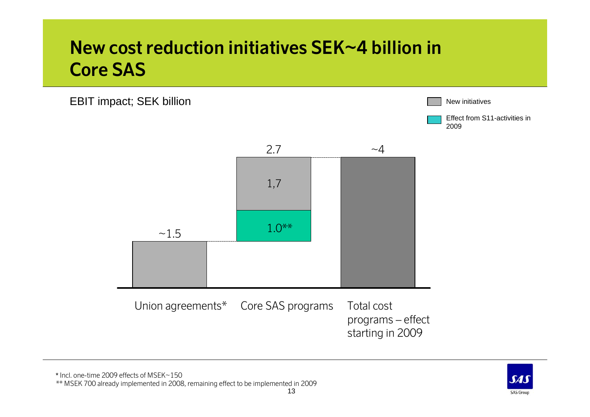## **New cost reduction initiatives SEK~4 billion in Core SAS**





\*\* MSEK 700 already implemented in 2008, remaining effect to be implemented in 2009

**64 SAS Group**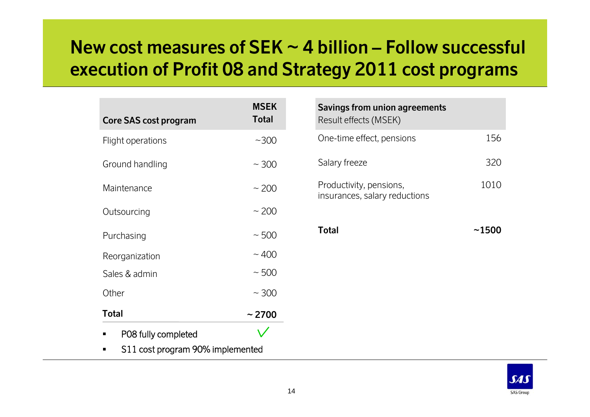## **New cost measures of SEK ~ 4 billion – Follow successful execution of Profit 08 and Strategy 2011 cost programs**

| Core SAS cost program | <b>MSEK</b><br><b>Total</b> |
|-----------------------|-----------------------------|
| Flight operations     | $~1$ – 300                  |
| Ground handling       | $~\sim$ 300                 |
| Maintenance           | $~1$ 200                    |
| Outsourcing           | $~1$ 200                    |
| Purchasing            | $~\sim 500$                 |
| Reorganization        | $\sim$ 400                  |
| Sales & admin         | ~500                        |
| Other                 | $~\sim$ 300                 |
| <b>Total</b>          | ~2700                       |
| PO8 fully completed   |                             |

 $\blacksquare$ S11 cost program 90% implemented

| 156   |
|-------|
| 320   |
| 1010  |
| ~1500 |
|       |
|       |
|       |
|       |

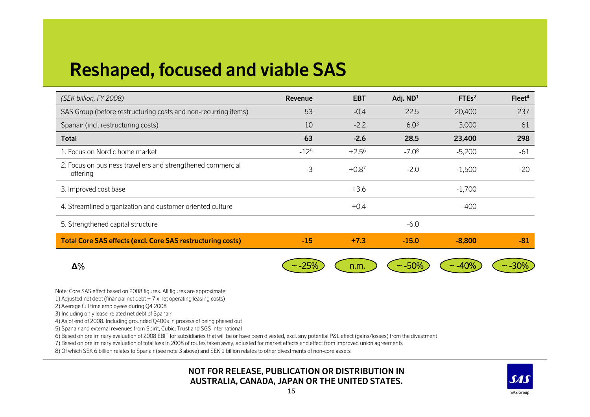# **Reshaped, focused and viable SAS**

| (SEK billion, FY 2008)                                                  | Revenue   | <b>EBT</b> | Adj. $ND1$  | FTEs <sup>2</sup> | Fleet <sup>4</sup> |
|-------------------------------------------------------------------------|-----------|------------|-------------|-------------------|--------------------|
| SAS Group (before restructuring costs and non-recurring items)          | 53        | $-0.4$     | 22.5        | 20,400            | 237                |
| Spanair (incl. restructuring costs)                                     | 10        | $-2.2$     | $6.0^{3}$   | 3,000             | 61                 |
| <b>Total</b>                                                            | 63        | $-2.6$     | 28.5        | 23,400            | 298                |
| 1. Focus on Nordic home market                                          | $-12^{5}$ | $+2.5^{6}$ | $-7.08$     | $-5,200$          | $-61$              |
| 2. Focus on business travellers and strengthened commercial<br>offering | $-3$      | $+0.87$    | $-2.0$      | $-1,500$          | $-20$              |
| 3. Improved cost base                                                   |           | $+3.6$     |             | $-1,700$          |                    |
| 4. Streamlined organization and customer oriented culture               |           | $+0.4$     |             | $-400$            |                    |
| 5. Strengthened capital structure                                       |           |            | $-6.0$      |                   |                    |
| <b>Total Core SAS effects (excl. Core SAS restructuring costs)</b>      | $-15$     | $+7.3$     | $-15.0$     | $-8,800$          | $-81$              |
| $\Delta\%$                                                              |           | n.m.       | $\sim$ -50% | $-40%$            |                    |

Note: Core SAS effect based on 2008 figures. All figures are approximate

1) Adjusted net debt (financial net debt + 7 x net operating leasing costs)

2) Average full time employees during Q4 2008

3) Including only lease-related net debt of Spanair

4) As of end of 2008. Including grounded Q400s in process of being phased out

5) Spanair and external revenues from Spirit, Cubic, Trust and SGS International

6) Based on preliminary evaluation of 2008 EBIT for subsidiaries that will be or have been divested, excl. any potential P&L effect (gains/losses) from the divestment

7) Based on preliminary evaluation of total loss in 2008 of routes taken away, adjusted for market effects and effect from improved union agreements

8) Of which SEK 6 billion relates to Spanair (see note 3 above) and SEK 1 billion relates to other divestments of non-core assets

#### **NOT FOR RELEASE, PUBLICATION OR DISTRIBUTION IN AUSTRALIA, CANADA, JAPAN OR THE UNITED STATES.**

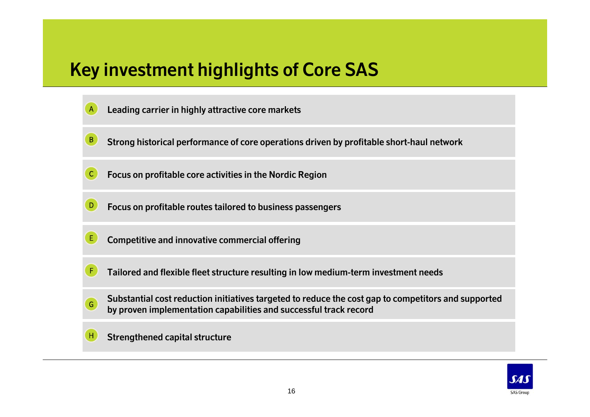# **Key investment highlights of Core SAS**

- **Leading carrier in highly attractive core markets** A
- **Strong historical performance of core operations driven by profitable short-haul network** B
- **Focus on profitable core activities in the Nordic Region**  C
- **Focus on profitable routes tailored to business passengers**
- **Competitive and innovative commercial offering** E
- **Tailored and flexible fleet structure resulting in low medium-term investment needs** F
- **Substantial cost reduction initiatives targeted to reduce the cost gap to competitors and supported by proven implementation capabilities and successful track record** G
- **Strengthened capital structure** H

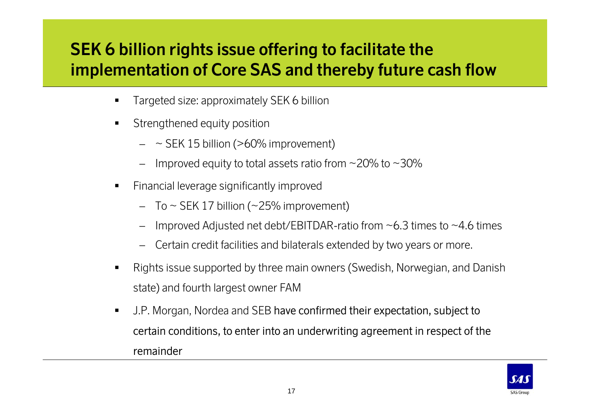#### **SEK 6 billion rights issue offering to facilitate the implementation of Core SAS and thereby future cash flow**

- Targeted size: approximately SEK 6 billion
- $\blacksquare$  Strengthened equity position
	- ~ SEK 15 billion (>60% improvement)
	- –Improved equity to total assets ratio from  $\sim$  20% to  $\sim$  30%
- $\blacksquare$  Financial leverage significantly improved
	- To ~ SEK 17 billion (~25% improvement)
	- –Improved Adjusted net debt/EBITDAR-ratio from  $\sim$  6.3 times to  $\sim$  4.6 times
	- Certain credit facilities and bilaterals extended by two years or more.
- $\blacksquare$  Rights issue supported by three main owners (Swedish, Norwegian, and Danish state) and fourth largest owner FAM
- $\blacksquare$  J.P. Morgan, Nordea and SEB have confirmed their expectation, subject to certain conditions, to enter into an underwriting agreement in respect of the remainder

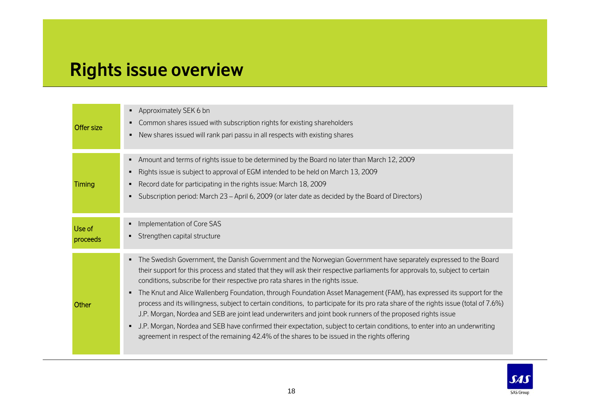# **Rights issue overview**

| Offer size         | Approximately SEK 6 bn<br>٠<br>Common shares issued with subscription rights for existing shareholders<br>٠<br>New shares issued will rank pari passu in all respects with existing shares<br>٠                                                                                                                                                                                                                                                                                                                                                                                                                                                                                                                                                                                                                                                                                                                                                                   |
|--------------------|-------------------------------------------------------------------------------------------------------------------------------------------------------------------------------------------------------------------------------------------------------------------------------------------------------------------------------------------------------------------------------------------------------------------------------------------------------------------------------------------------------------------------------------------------------------------------------------------------------------------------------------------------------------------------------------------------------------------------------------------------------------------------------------------------------------------------------------------------------------------------------------------------------------------------------------------------------------------|
| Timing             | Amount and terms of rights issue to be determined by the Board no later than March 12, 2009<br>Rights issue is subject to approval of EGM intended to be held on March 13, 2009<br>٠<br>Record date for participating in the rights issue: March 18, 2009<br>Subscription period: March 23 – April 6, 2009 (or later date as decided by the Board of Directors)<br>$\blacksquare$                                                                                                                                                                                                                                                                                                                                                                                                                                                                                                                                                                                 |
| Use of<br>proceeds | Implementation of Core SAS<br>٠<br>Strengthen capital structure                                                                                                                                                                                                                                                                                                                                                                                                                                                                                                                                                                                                                                                                                                                                                                                                                                                                                                   |
| Other              | The Swedish Government, the Danish Government and the Norwegian Government have separately expressed to the Board<br>٠<br>their support for this process and stated that they will ask their respective parliaments for approvals to, subject to certain<br>conditions, subscribe for their respective pro rata shares in the rights issue.<br>The Knut and Alice Wallenberg Foundation, through Foundation Asset Management (FAM), has expressed its support for the<br>process and its willingness, subject to certain conditions, to participate for its pro rata share of the rights issue (total of 7.6%)<br>J.P. Morgan, Nordea and SEB are joint lead underwriters and joint book runners of the proposed rights issue<br>J.P. Morgan, Nordea and SEB have confirmed their expectation, subject to certain conditions, to enter into an underwriting<br>٠<br>agreement in respect of the remaining 42.4% of the shares to be issued in the rights offering |